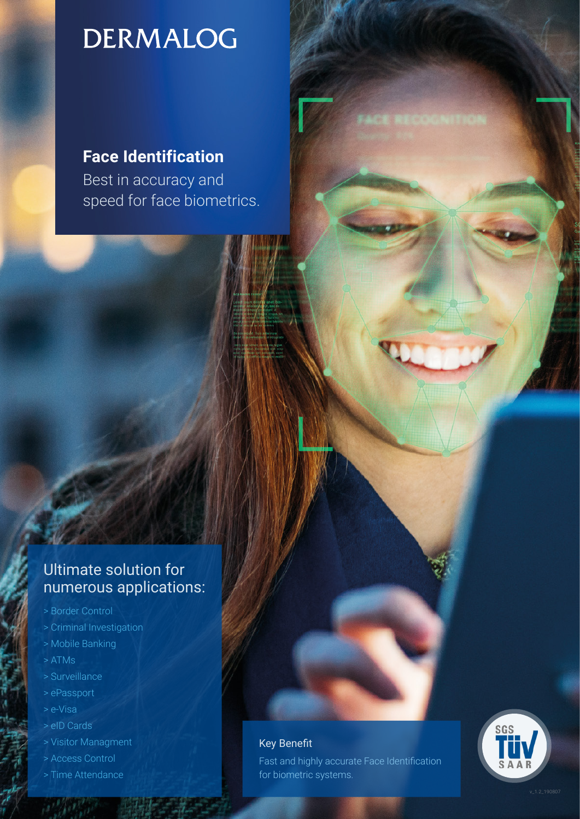# **DERMALOG**

### **Face Identification**

Best in accuracy and speed for face biometrics.

### Ultimate solution for numerous applications:

- > Border Control
- > Criminal Investigation
- > Mobile Banking
- > ATMs
- > Surveillance
- > ePassport
- > e-Visa
- > eID Cards
- > Visitor Managment
- > Access Control
- > Time Attendance

### Key Benefit

Fast and highly accurate Face Identification for biometric systems.

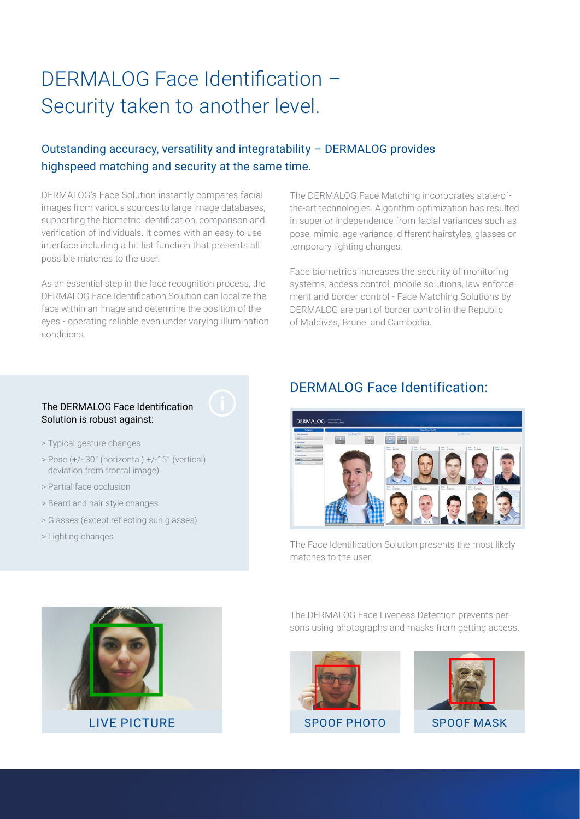## DERMALOG Face Identification – Security taken to another level.

### Outstanding accuracy, versatility and integratability – DERMALOG provides highspeed matching and security at the same time.

DERMALOG's Face Solution instantly compares facial images from various sources to large image databases, supporting the biometric identification, comparison and verification of individuals. It comes with an easy-to-use interface including a hit list function that presents all possible matches to the user.

As an essential step in the face recognition process, the DERMALOG Face Identification Solution can localize the face within an image and determine the position of the eyes - operating reliable even under varying illumination conditions.

The DERMALOG Face Matching incorporates state-ofthe-art technologies. Algorithm optimization has resulted in superior independence from facial variances such as pose, mimic, age variance, different hairstyles, glasses or temporary lighting changes.

Face biometrics increases the security of monitoring systems, access control, mobile solutions, law enforcement and border control - Face Matching Solutions by DERMALOG are part of border control in the Republic of Maldives, Brunei and Cambodia.

### The DERMALOG Face Identification Solution is robust against:

- > Typical gesture changes
- > Pose (+/- 30° (horizontal) +/-15° (vertical) deviation from frontal image)
- > Partial face occlusion
- > Beard and hair style changes
- > Glasses (except reflecting sun glasses)
- > Lighting changes

### DERMALOG Face Identification:



The Face Identification Solution presents the most likely matches to the user.



The DERMALOG Face Liveness Detection prevents persons using photographs and masks from getting access.





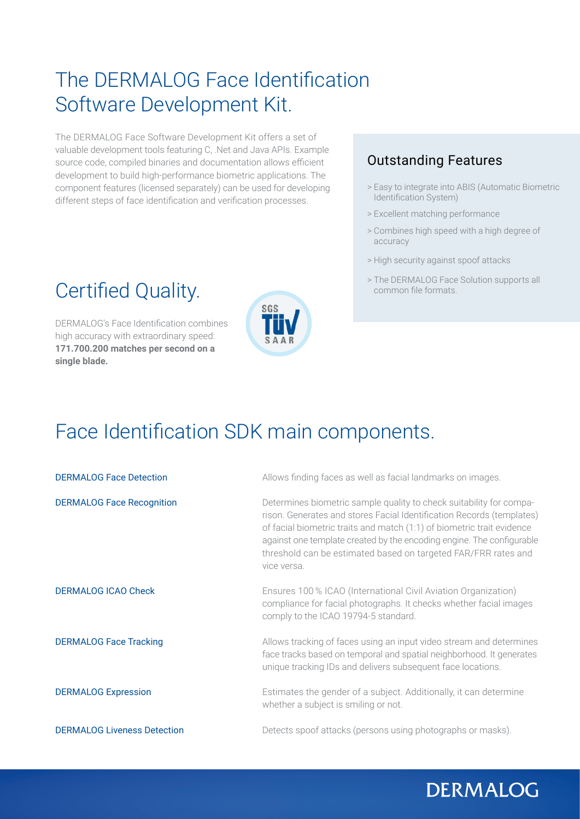## The DERMALOG Face Identification Software Development Kit.

The DERMALOG Face Software Development Kit offers a set of valuable development tools featuring C, .Net and Java APIs. Example source code, compiled binaries and documentation allows efficient development to build high-performance biometric applications. The component features (licensed separately) can be used for developing different steps of face identification and verification processes.

## Certified Quality.

DERMALOG's Face Identification combines high accuracy with extraordinary speed: **171.700.200 matches per second on a single blade.**



### Outstanding Features

- > Easy to integrate into ABIS (Automatic Biometric Identification System)
- > Excellent matching performance
- > Combines high speed with a high degree of accuracy
- > High security against spoof attacks
- > The DERMALOG Face Solution supports all common file formats.

## Face Identification SDK main components.

| <b>DERMALOG Face Detection</b>     | Allows finding faces as well as facial landmarks on images.                                                                                                                                                                                                                                                                                                                      |
|------------------------------------|----------------------------------------------------------------------------------------------------------------------------------------------------------------------------------------------------------------------------------------------------------------------------------------------------------------------------------------------------------------------------------|
| <b>DERMALOG Face Recognition</b>   | Determines biometric sample quality to check suitability for compa-<br>rison. Generates and stores Facial Identification Records (templates)<br>of facial biometric traits and match (1:1) of biometric trait evidence<br>against one template created by the encoding engine. The configurable<br>threshold can be estimated based on targeted FAR/FRR rates and<br>vice versa. |
| <b>DERMALOG ICAO Check</b>         | Ensures 100 % ICAO (International Civil Aviation Organization)<br>compliance for facial photographs. It checks whether facial images<br>comply to the ICAO 19794-5 standard.                                                                                                                                                                                                     |
| <b>DERMALOG Face Tracking</b>      | Allows tracking of faces using an input video stream and determines<br>face tracks based on temporal and spatial neighborhood. It generates<br>unique tracking IDs and delivers subsequent face locations.                                                                                                                                                                       |
| <b>DERMALOG Expression</b>         | Estimates the gender of a subject. Additionally, it can determine<br>whether a subject is smiling or not.                                                                                                                                                                                                                                                                        |
| <b>DERMALOG Liveness Detection</b> | Detects spoof attacks (persons using photographs or masks).                                                                                                                                                                                                                                                                                                                      |

## **DERMALOG**